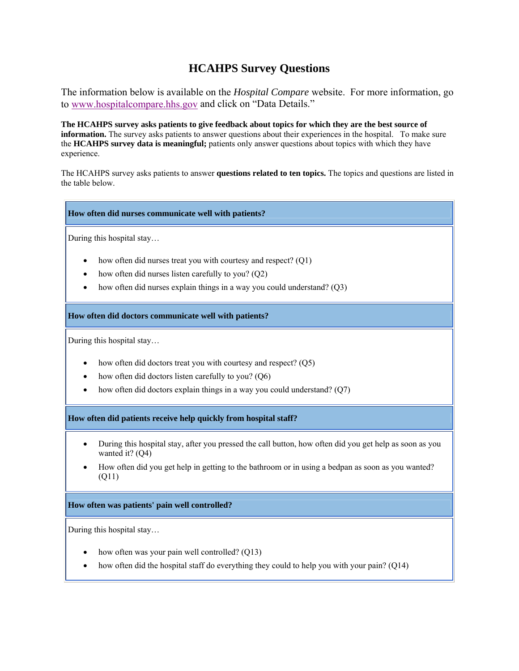# **HCAHPS Survey Questions**

The information below is available on the *Hospital Compare* website. For more information, go to www.hospitalcompare.hhs.gov and click on "Data Details."

**The HCAHPS survey asks patients to give feedback about topics for which they are the best source of information.** The survey asks patients to answer questions about their experiences in the hospital. To make sure the **HCAHPS survey data is meaningful;** patients only answer questions about topics with which they have experience.

The HCAHPS survey asks patients to answer **questions related to ten topics.** The topics and questions are listed in the table below.

### **How often did nurses communicate well with patients?**

During this hospital stay…

- how often did nurses treat you with courtesy and respect? (Q1)
- how often did nurses listen carefully to you? (Q2)
- how often did nurses explain things in a way you could understand? (Q3)

**How often did doctors communicate well with patients?**

During this hospital stay…

- how often did doctors treat you with courtesy and respect? (Q5)
- how often did doctors listen carefully to you? (Q6)
- how often did doctors explain things in a way you could understand?  $(Q7)$

**How often did patients receive help quickly from hospital staff?**

- During this hospital stay, after you pressed the call button, how often did you get help as soon as you wanted it? (Q4)
- How often did you get help in getting to the bathroom or in using a bedpan as soon as you wanted? (Q11)

## **How often was patients' pain well controlled?**

During this hospital stay…

- how often was your pain well controlled? (Q13)
- how often did the hospital staff do everything they could to help you with your pain? (Q14)